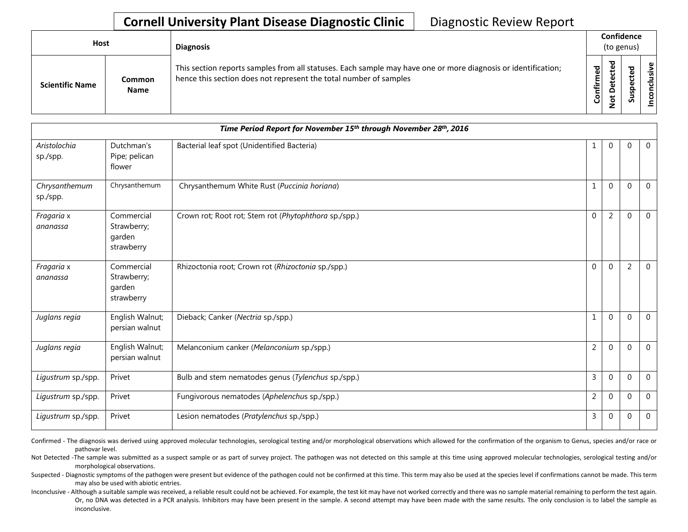## **Cornell University Plant Disease Diagnostic Clinic** | Diagnostic Review Report

| Host                   |                              | <b>Diagnosis</b>                                                                                                                                                                   |           | Confidence<br>(to genus) |        |                             |  |  |
|------------------------|------------------------------|------------------------------------------------------------------------------------------------------------------------------------------------------------------------------------|-----------|--------------------------|--------|-----------------------------|--|--|
| <b>Scientific Name</b> | <b>Common</b><br><b>Name</b> | This section reports samples from all statuses. Each sample may have one or more diagnosis or identification;<br>hence this section does not represent the total number of samples | Confirmed | ъ<br>Φ<br>ω              | ௨<br>ഗ | $\mathbf{\omega}$<br>š<br>ဒ |  |  |

| Time Period Report for November 15 <sup>th</sup> through November 28 <sup>th</sup> , 2016 |                                                   |                                                       |                |                |                |                |  |
|-------------------------------------------------------------------------------------------|---------------------------------------------------|-------------------------------------------------------|----------------|----------------|----------------|----------------|--|
| Aristolochia<br>sp./spp.                                                                  | Dutchman's<br>Pipe; pelican<br>flower             | Bacterial leaf spot (Unidentified Bacteria)           | 1              | $\overline{0}$ | $\Omega$       | $\overline{0}$ |  |
| Chrysanthemum<br>sp./spp.                                                                 | Chrysanthemum                                     | Chrysanthemum White Rust (Puccinia horiana)           | 1              | $\mathbf{0}$   | $\Omega$       | $\overline{0}$ |  |
| Fragaria x<br>ananassa                                                                    | Commercial<br>Strawberry;<br>garden<br>strawberry | Crown rot; Root rot; Stem rot (Phytophthora sp./spp.) | $\Omega$       | 2              | $\Omega$       | $\overline{0}$ |  |
| Fragaria x<br>ananassa                                                                    | Commercial<br>Strawberry;<br>garden<br>strawberry | Rhizoctonia root; Crown rot (Rhizoctonia sp./spp.)    | $\mathbf 0$    | $\mathbf{0}$   | $\overline{2}$ | $\mathbf 0$    |  |
| Juglans regia                                                                             | English Walnut;<br>persian walnut                 | Dieback; Canker (Nectria sp./spp.)                    | 1              | $\mathbf{0}$   | $\Omega$       | $\overline{0}$ |  |
| Juglans regia                                                                             | English Walnut;<br>persian walnut                 | Melanconium canker (Melanconium sp./spp.)             | $\overline{2}$ | $\mathbf{0}$   | $\Omega$       | $\overline{0}$ |  |
| Ligustrum sp./spp.                                                                        | Privet                                            | Bulb and stem nematodes genus (Tylenchus sp./spp.)    | $\mathsf{3}$   | $\Omega$       | $\Omega$       | $\overline{0}$ |  |
| Ligustrum sp./spp.                                                                        | Privet                                            | Fungivorous nematodes (Aphelenchus sp./spp.)          | $\overline{2}$ | $\mathbf{0}$   | $\Omega$       | $\mathbf{0}$   |  |
| Ligustrum sp./spp.                                                                        | Privet                                            | Lesion nematodes (Pratylenchus sp./spp.)              | 3              | $\mathbf{0}$   | $\Omega$       | $\mathbf{0}$   |  |

Confirmed - The diagnosis was derived using approved molecular technologies, serological testing and/or morphological observations which allowed for the confirmation of the organism to Genus, species and/or race or pathovar level.

Not Detected -The sample was submitted as a suspect sample or as part of survey project. The pathogen was not detected on this sample at this time using approved molecular technologies, serological testing and/or morphological observations.

Suspected - Diagnostic symptoms of the pathogen were present but evidence of the pathogen could not be confirmed at this time. This term may also be used at the species level if confirmations cannot be made. This term may also be used with abiotic entries.

Inconclusive - Although a suitable sample was received, a reliable result could not be achieved. For example, the test kit may have not worked correctly and there was no sample material remaining to perform the test again. Or, no DNA was detected in a PCR analysis. Inhibitors may have been present in the sample. A second attempt may have been made with the same results. The only conclusion is to label the sample as inconclusive.